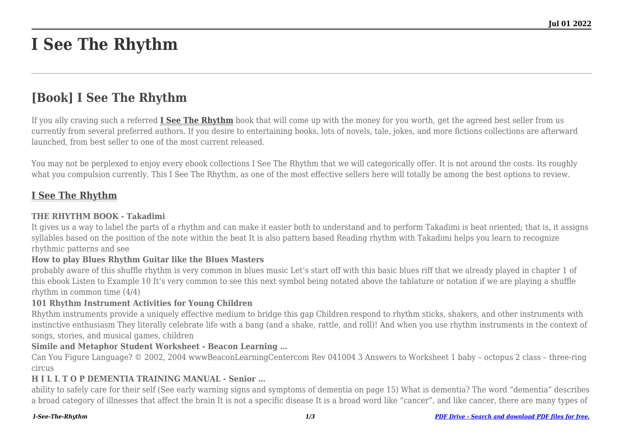# **I See The Rhythm**

# **[Book] I See The Rhythm**

If you ally craving such a referred **[I See The Rhythm](http://goldwoodgardens.com)** book that will come up with the money for you worth, get the agreed best seller from us currently from several preferred authors. If you desire to entertaining books, lots of novels, tale, jokes, and more fictions collections are afterward launched, from best seller to one of the most current released.

You may not be perplexed to enjoy every ebook collections I See The Rhythm that we will categorically offer. It is not around the costs. Its roughly what you compulsion currently. This I See The Rhythm, as one of the most effective sellers here will totally be among the best options to review.

# **[I See The Rhythm](http://goldwoodgardens.com/I-See-The-Rhythm.pdf)**

#### **THE RHYTHM BOOK - Takadimi**

It gives us a way to label the parts of a rhythm and can make it easier both to understand and to perform Takadimi is beat oriented; that is, it assigns syllables based on the position of the note within the beat It is also pattern based Reading rhythm with Takadimi helps you learn to recognize rhythmic patterns and see

#### **How to play Blues Rhythm Guitar like the Blues Masters**

probably aware of this shuffle rhythm is very common in blues music Let's start off with this basic blues riff that we already played in chapter 1 of this ebook Listen to Example 10 It's very common to see this next symbol being notated above the tablature or notation if we are playing a shuffle rhythm in common time (4/4)

#### **101 Rhythm Instrument Activities for Young Children**

Rhythm instruments provide a uniquely effective medium to bridge this gap Children respond to rhythm sticks, shakers, and other instruments with instinctive enthusiasm They literally celebrate life with a bang (and a shake, rattle, and roll)! And when you use rhythm instruments in the context of songs, stories, and musical games, children

#### **Simile and Metaphor Student Worksheet - Beacon Learning …**

Can You Figure Language? © 2002, 2004 wwwBeaconLearningCentercom Rev 041004 3 Answers to Worksheet 1 baby – octopus 2 class – three-ring circus

#### **H I L L T O P DEMENTIA TRAINING MANUAL - Senior …**

ability to safely care for their self (See early warning signs and symptoms of dementia on page 15) What is dementia? The word "dementia" describes a broad category of illnesses that affect the brain It is not a specific disease It is a broad word like "cancer", and like cancer, there are many types of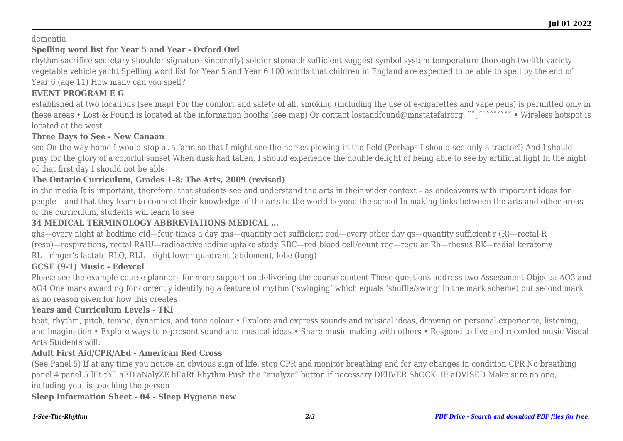#### dementia

# **Spelling word list for Year 5 and Year - Oxford Owl**

rhythm sacrifice secretary shoulder signature sincere(ly) soldier stomach sufficient suggest symbol system temperature thorough twelfth variety vegetable vehicle yacht Spelling word list for Year 5 and Year 6 100 words that children in England are expected to be able to spell by the end of Year 6 (age 11) How many can you spell?

# **EVENT PROGRAM E G**

established at two locations (see map) For the comfort and safety of all, smoking (including the use of e-cigarettes and vape pens) is permitted only in these areas • Lost & Found is located at the information booths (see map) Or contact lostandfound@mnstatefairorg, ~° <sub>i</sub> and  $\sim$  wireless hotspot is located at the west

#### **Three Days to See - New Canaan**

see On the way home I would stop at a farm so that I might see the horses plowing in the field (Perhaps I should see only a tractor!) And I should pray for the glory of a colorful sunset When dusk had fallen, I should experience the double delight of being able to see by artificial light In the night of that first day I should not be able

# **The Ontario Curriculum, Grades 1-8: The Arts, 2009 (revised)**

in the media It is important, therefore, that students see and understand the arts in their wider context – as endeavours with important ideas for people – and that they learn to connect their knowledge of the arts to the world beyond the school In making links between the arts and other areas of the curriculum, students will learn to see

# **34 MEDICAL TERMINOLOGY ABBREVIATIONS MEDICAL …**

qhs—every night at bedtime qid—four times a day qns—quantity not sufficient qod—every other day qs—quantity sufficient r (R)—rectal R (resp)—respirations, rectal RAIU—radioactive iodine uptake study RBC—red blood cell/count reg—regular Rh—rhesus RK—radial keratomy RL—ringer's lactate RLQ, RLL—right lower quadrant (abdomen), lobe (lung)

# **GCSE (9-1) Music - Edexcel**

Please see the example course planners for more support on delivering the course content These questions address two Assessment Objects: AO3 and AO4 One mark awarding for correctly identifying a feature of rhythm ('swinging' which equals 'shuffle/swing' in the mark scheme) but second mark as no reason given for how this creates

# **Years and Curriculum Levels - TKI**

beat, rhythm, pitch, tempo, dynamics, and tone colour • Explore and express sounds and musical ideas, drawing on personal experience, listening, and imagination • Explore ways to represent sound and musical ideas • Share music making with others • Respond to live and recorded music Visual Arts Students will:

# **Adult First Aid/CPR/AEd - American Red Cross**

(See Panel 5) If at any time you notice an obvious sign of life, stop CPR and monitor breathing and for any changes in condition CPR No breathing panel 4 panel 5 lEt thE aED aNalyZE hEaRt Rhythm Push the "analyze" button if necessary DElIVER ShOCK, IF aDVISED Make sure no one, including you, is touching the person

# **Sleep Information Sheet - 04 - Sleep Hygiene new**